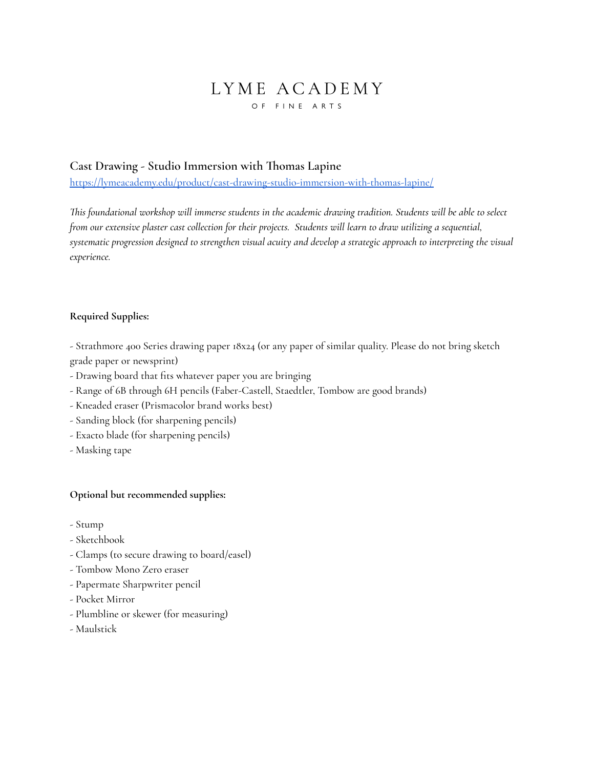## LYME ACADEMY OF FINE ARTS

### **Cast Drawing - Studio Immersion with Thomas Lapine**

<https://lymeacademy.edu/product/cast-drawing-studio-immersion-with-thomas-lapine/>

This foundational workshop will immerse students in the academic drawing tradition. Students will be able to select from our extensive plaster cast collection for their projects. Students will learn to draw utilizing a sequential, systematic progression designed to strengthen visual acuity and develop a strategic approach to interpreting the visual *experience.*

#### **Required Supplies:**

- Strathmore 400 Series drawing paper 18x24 (or any paper of similar quality. Please do not bring sketch grade paper or newsprint)

- Drawing board that fits whatever paper you are bringing
- Range of 6B through 6H pencils (Faber-Castell, Staedtler, Tombow are good brands)
- Kneaded eraser (Prismacolor brand works best)
- Sanding block (for sharpening pencils)
- Exacto blade (for sharpening pencils)
- Masking tape

#### **Optional but recommended supplies:**

- Stump
- Sketchbook
- Clamps (to secure drawing to board/easel)
- Tombow Mono Zero eraser
- Papermate Sharpwriter pencil
- Pocket Mirror
- Plumbline or skewer (for measuring)
- Maulstick